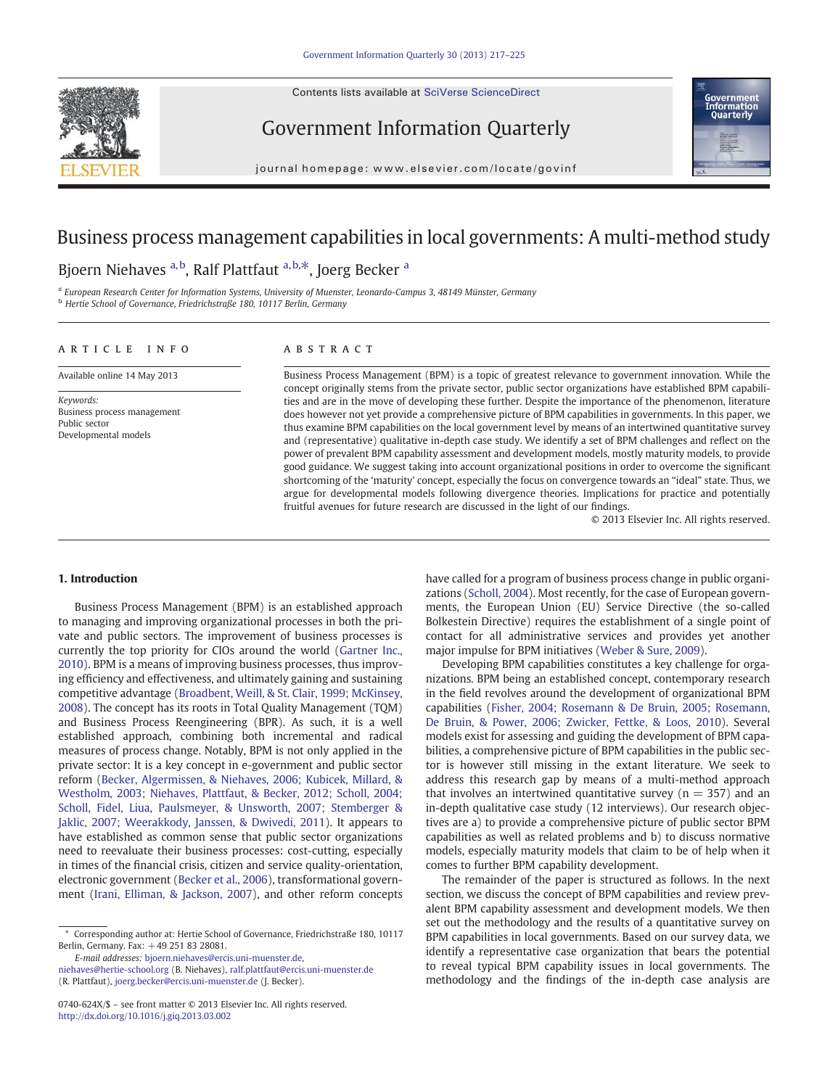Contents lists available at SciVerse ScienceDirect



Government Information Quarterly



journal homepage: www.elsevier.com/locate/govinf

# Business process management capabilities in local governments: A multi-method study

## Bjoern Niehaves <sup>a,b</sup>, Ralf Plattfaut <sup>a,b,\*</sup>, Joerg Becker <sup>a</sup>

<sup>a</sup> European Research Center for Information Systems, University of Muenster, Leonardo-Campus 3, 48149 Münster, Germany <sup>b</sup> Hertie School of Governance, Friedrichstraße 180, 10117 Berlin, Germany

### article info abstract

Available online 14 May 2013

Keywords: Business process management Public sector Developmental models

Business Process Management (BPM) is a topic of greatest relevance to government innovation. While the concept originally stems from the private sector, public sector organizations have established BPM capabilities and are in the move of developing these further. Despite the importance of the phenomenon, literature does however not yet provide a comprehensive picture of BPM capabilities in governments. In this paper, we thus examine BPM capabilities on the local government level by means of an intertwined quantitative survey and (representative) qualitative in-depth case study. We identify a set of BPM challenges and reflect on the power of prevalent BPM capability assessment and development models, mostly maturity models, to provide good guidance. We suggest taking into account organizational positions in order to overcome the significant shortcoming of the 'maturity' concept, especially the focus on convergence towards an "ideal" state. Thus, we argue for developmental models following divergence theories. Implications for practice and potentially fruitful avenues for future research are discussed in the light of our findings.

© 2013 Elsevier Inc. All rights reserved.

### 1. Introduction

Business Process Management (BPM) is an established approach to managing and improving organizational processes in both the private and public sectors. The improvement of business processes is currently the top priority for CIOs around the world ([Gartner Inc.,](#page--1-0) [2010\)](#page--1-0). BPM is a means of improving business processes, thus improving efficiency and effectiveness, and ultimately gaining and sustaining competitive advantage ([Broadbent, Weill, & St. Clair, 1999; McKinsey,](#page--1-0) [2008\)](#page--1-0). The concept has its roots in Total Quality Management (TQM) and Business Process Reengineering (BPR). As such, it is a well established approach, combining both incremental and radical measures of process change. Notably, BPM is not only applied in the private sector: It is a key concept in e-government and public sector reform [\(Becker, Algermissen, & Niehaves, 2006; Kubicek, Millard, &](#page--1-0) [Westholm, 2003; Niehaves, Plattfaut, & Becker, 2012; Scholl, 2004;](#page--1-0) [Scholl, Fidel, Liua, Paulsmeyer, & Unsworth, 2007; Stemberger &](#page--1-0) [Jaklic, 2007; Weerakkody, Janssen, & Dwivedi, 2011](#page--1-0)). It appears to have established as common sense that public sector organizations need to reevaluate their business processes: cost-cutting, especially in times of the financial crisis, citizen and service quality-orientation, electronic government ([Becker et al., 2006](#page--1-0)), transformational government ([Irani, Elliman, & Jackson, 2007\)](#page--1-0), and other reform concepts

E-mail addresses: [bjoern.niehaves@ercis.uni-muenster.de](mailto:bjoern.niehaves@ercis.uni-muenster.de), [niehaves@hertie-school.org](mailto:niehaves@hertie-school.org) (B. Niehaves), [ralf.plattfaut@ercis.uni-muenster.de](mailto:ralf.plattfaut@ercis.uni-muenster.de)

(R. Plattfaut), [joerg.becker@ercis.uni-muenster.de](mailto:joerg.becker@ercis.uni-muenster.de) (J. Becker).

have called for a program of business process change in public organizations ([Scholl, 2004](#page--1-0)). Most recently, for the case of European governments, the European Union (EU) Service Directive (the so-called Bolkestein Directive) requires the establishment of a single point of contact for all administrative services and provides yet another major impulse for BPM initiatives ([Weber & Sure, 2009](#page--1-0)).

Developing BPM capabilities constitutes a key challenge for organizations. BPM being an established concept, contemporary research in the field revolves around the development of organizational BPM capabilities [\(Fisher, 2004; Rosemann & De Bruin, 2005; Rosemann,](#page--1-0) [De Bruin, & Power, 2006; Zwicker, Fettke, & Loos, 2010\)](#page--1-0). Several models exist for assessing and guiding the development of BPM capabilities, a comprehensive picture of BPM capabilities in the public sector is however still missing in the extant literature. We seek to address this research gap by means of a multi-method approach that involves an intertwined quantitative survey ( $n = 357$ ) and an in-depth qualitative case study (12 interviews). Our research objectives are a) to provide a comprehensive picture of public sector BPM capabilities as well as related problems and b) to discuss normative models, especially maturity models that claim to be of help when it comes to further BPM capability development.

The remainder of the paper is structured as follows. In the next section, we discuss the concept of BPM capabilities and review prevalent BPM capability assessment and development models. We then set out the methodology and the results of a quantitative survey on BPM capabilities in local governments. Based on our survey data, we identify a representative case organization that bears the potential to reveal typical BPM capability issues in local governments. The methodology and the findings of the in-depth case analysis are

Corresponding author at: Hertie School of Governance, Friedrichstraße 180, 10117 Berlin, Germany. Fax: +49 251 83 28081.

<sup>0740-624</sup>X/\$ – see front matter © 2013 Elsevier Inc. All rights reserved. <http://dx.doi.org/10.1016/j.giq.2013.03.002>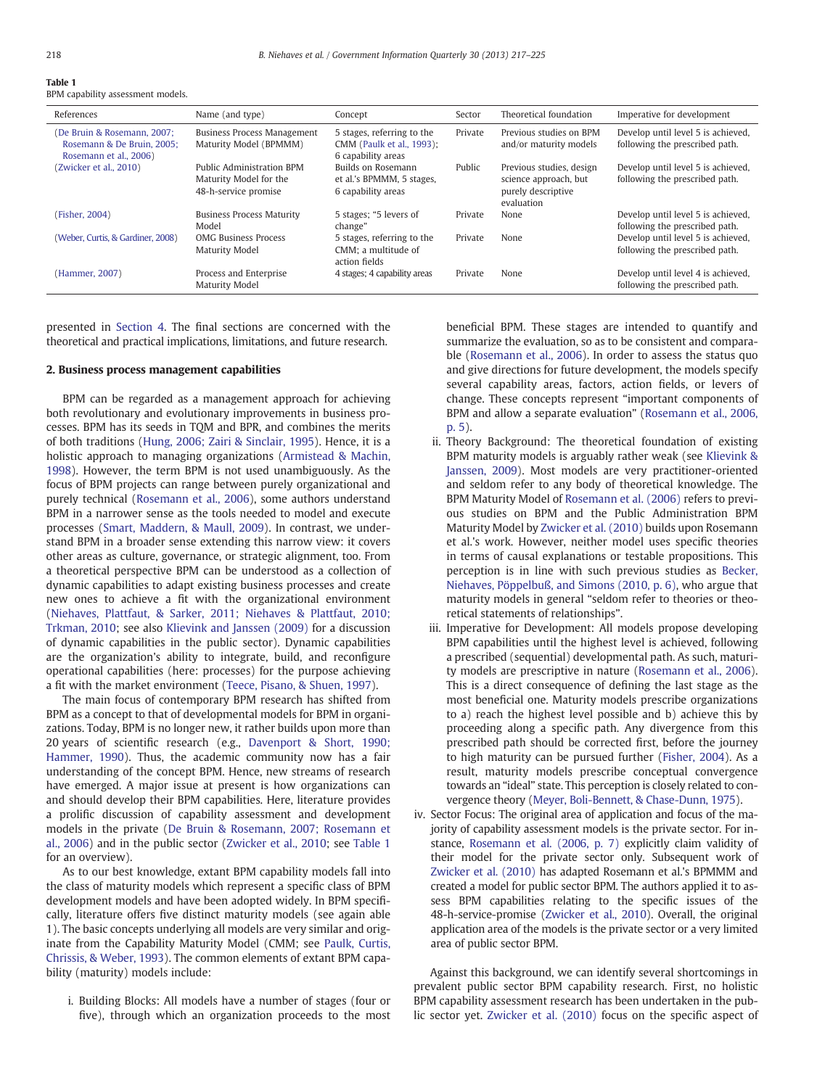Table 1

| ------- |                                   |  |
|---------|-----------------------------------|--|
|         | BPM capability assessment models. |  |

| References                                                                          | Name (and type)                                                             | Concept                                                                       | Sector  | Theoretical foundation                                                                | Imperative for development                                           |
|-------------------------------------------------------------------------------------|-----------------------------------------------------------------------------|-------------------------------------------------------------------------------|---------|---------------------------------------------------------------------------------------|----------------------------------------------------------------------|
| (De Bruin & Rosemann, 2007;<br>Rosemann & De Bruin, 2005:<br>Rosemann et al., 2006) | <b>Business Process Management</b><br>Maturity Model (BPMMM)                | 5 stages, referring to the<br>CMM (Paulk et al., 1993);<br>6 capability areas | Private | Previous studies on BPM<br>and/or maturity models                                     | Develop until level 5 is achieved,<br>following the prescribed path. |
| (Zwicker et al., 2010)                                                              | Public Administration BPM<br>Maturity Model for the<br>48-h-service promise | Builds on Rosemann<br>et al.'s BPMMM, 5 stages,<br>6 capability areas         | Public  | Previous studies, design<br>science approach, but<br>purely descriptive<br>evaluation | Develop until level 5 is achieved,<br>following the prescribed path. |
| (Fisher, 2004)                                                                      | <b>Business Process Maturity</b><br>Model                                   | 5 stages; "5 levers of<br>change"                                             | Private | None                                                                                  | Develop until level 5 is achieved,<br>following the prescribed path. |
| (Weber, Curtis, & Gardiner, 2008)                                                   | <b>OMG Business Process</b><br><b>Maturity Model</b>                        | 5 stages, referring to the<br>CMM: a multitude of<br>action fields            | Private | None                                                                                  | Develop until level 5 is achieved,<br>following the prescribed path. |
| (Hammer, 2007)                                                                      | Process and Enterprise<br>Maturity Model                                    | 4 stages; 4 capability areas                                                  | Private | None                                                                                  | Develop until level 4 is achieved,<br>following the prescribed path. |

presented in [Section 4.](#page--1-0) The final sections are concerned with the theoretical and practical implications, limitations, and future research.

### 2. Business process management capabilities

BPM can be regarded as a management approach for achieving both revolutionary and evolutionary improvements in business processes. BPM has its seeds in TQM and BPR, and combines the merits of both traditions [\(Hung, 2006; Zairi & Sinclair, 1995](#page--1-0)). Hence, it is a holistic approach to managing organizations [\(Armistead & Machin,](#page--1-0) [1998\)](#page--1-0). However, the term BPM is not used unambiguously. As the focus of BPM projects can range between purely organizational and purely technical ([Rosemann et al., 2006\)](#page--1-0), some authors understand BPM in a narrower sense as the tools needed to model and execute processes [\(Smart, Maddern, & Maull, 2009](#page--1-0)). In contrast, we understand BPM in a broader sense extending this narrow view: it covers other areas as culture, governance, or strategic alignment, too. From a theoretical perspective BPM can be understood as a collection of dynamic capabilities to adapt existing business processes and create new ones to achieve a fit with the organizational environment [\(Niehaves, Plattfaut, & Sarker, 2011; Niehaves & Plattfaut, 2010;](#page--1-0) [Trkman, 2010;](#page--1-0) see also [Klievink and Janssen \(2009\)](#page--1-0) for a discussion of dynamic capabilities in the public sector). Dynamic capabilities are the organization's ability to integrate, build, and reconfigure operational capabilities (here: processes) for the purpose achieving a fit with the market environment [\(Teece, Pisano, & Shuen, 1997\)](#page--1-0).

The main focus of contemporary BPM research has shifted from BPM as a concept to that of developmental models for BPM in organizations. Today, BPM is no longer new, it rather builds upon more than 20 years of scientific research (e.g., [Davenport & Short, 1990;](#page--1-0) [Hammer, 1990](#page--1-0)). Thus, the academic community now has a fair understanding of the concept BPM. Hence, new streams of research have emerged. A major issue at present is how organizations can and should develop their BPM capabilities. Here, literature provides a prolific discussion of capability assessment and development models in the private ([De Bruin & Rosemann, 2007; Rosemann et](#page--1-0) [al., 2006\)](#page--1-0) and in the public sector [\(Zwicker et al., 2010;](#page--1-0) see Table 1 for an overview).

As to our best knowledge, extant BPM capability models fall into the class of maturity models which represent a specific class of BPM development models and have been adopted widely. In BPM specifically, literature offers five distinct maturity models (see again able 1). The basic concepts underlying all models are very similar and originate from the Capability Maturity Model (CMM; see [Paulk, Curtis,](#page--1-0) [Chrissis, & Weber, 1993\)](#page--1-0). The common elements of extant BPM capability (maturity) models include:

i. Building Blocks: All models have a number of stages (four or five), through which an organization proceeds to the most beneficial BPM. These stages are intended to quantify and summarize the evaluation, so as to be consistent and comparable ([Rosemann et al., 2006](#page--1-0)). In order to assess the status quo and give directions for future development, the models specify several capability areas, factors, action fields, or levers of change. These concepts represent "important components of BPM and allow a separate evaluation" [\(Rosemann et al., 2006,](#page--1-0) [p. 5](#page--1-0)).

- ii. Theory Background: The theoretical foundation of existing BPM maturity models is arguably rather weak (see [Klievink &](#page--1-0) [Janssen, 2009](#page--1-0)). Most models are very practitioner-oriented and seldom refer to any body of theoretical knowledge. The BPM Maturity Model of [Rosemann et al. \(2006\)](#page--1-0) refers to previous studies on BPM and the Public Administration BPM Maturity Model by [Zwicker et al. \(2010\)](#page--1-0) builds upon Rosemann et al.'s work. However, neither model uses specific theories in terms of causal explanations or testable propositions. This perception is in line with such previous studies as [Becker,](#page--1-0) [Niehaves, Pöppelbuß, and Simons \(2010, p. 6\)](#page--1-0), who argue that maturity models in general "seldom refer to theories or theoretical statements of relationships".
- iii. Imperative for Development: All models propose developing BPM capabilities until the highest level is achieved, following a prescribed (sequential) developmental path. As such, maturity models are prescriptive in nature ([Rosemann et al., 2006](#page--1-0)). This is a direct consequence of defining the last stage as the most beneficial one. Maturity models prescribe organizations to a) reach the highest level possible and b) achieve this by proceeding along a specific path. Any divergence from this prescribed path should be corrected first, before the journey to high maturity can be pursued further [\(Fisher, 2004](#page--1-0)). As a result, maturity models prescribe conceptual convergence towards an "ideal" state. This perception is closely related to convergence theory ([Meyer, Boli-Bennett, & Chase-Dunn, 1975](#page--1-0)).
- iv. Sector Focus: The original area of application and focus of the majority of capability assessment models is the private sector. For instance, [Rosemann et al. \(2006, p. 7\)](#page--1-0) explicitly claim validity of their model for the private sector only. Subsequent work of [Zwicker et al. \(2010\)](#page--1-0) has adapted Rosemann et al.'s BPMMM and created a model for public sector BPM. The authors applied it to assess BPM capabilities relating to the specific issues of the 48-h-service-promise ([Zwicker et al., 2010](#page--1-0)). Overall, the original application area of the models is the private sector or a very limited area of public sector BPM.

Against this background, we can identify several shortcomings in prevalent public sector BPM capability research. First, no holistic BPM capability assessment research has been undertaken in the public sector yet. [Zwicker et al. \(2010\)](#page--1-0) focus on the specific aspect of